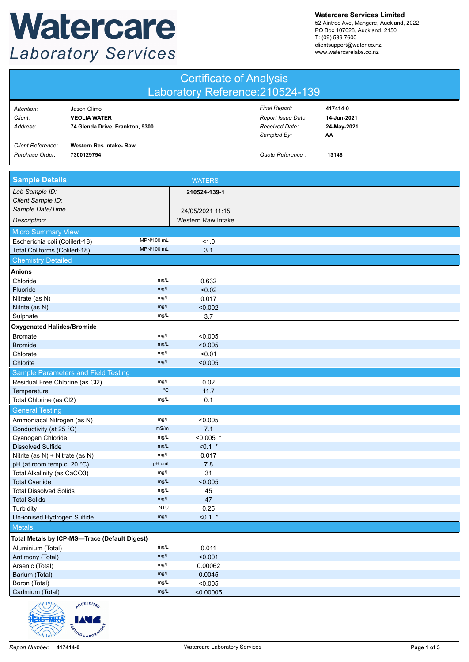## Watercare **Laboratory Services**

**Watercare Services Limited**

52 Aintree Ave, Mangere, Auckland, 2022 PO Box 107028, Auckland, 2150 T: (09) 539 7600 clientsupport@water.co.nz www.watercarelabs.co.nz

| Laboratory Reference: 210524-139<br>Final Report:<br>417414-0<br>Attention:<br>Jason Climo<br>Client:<br><b>VEOLIA WATER</b><br>Report Issue Date:<br>14-Jun-2021<br>Address:<br>Received Date:<br>24-May-2021<br>74 Glenda Drive, Frankton, 9300<br>Sampled By:<br>АΑ<br><b>Client Reference:</b><br>Western Res Intake-Raw<br>Purchase Order:<br>Quote Reference :<br>7300129754<br>13146<br><b>Sample Details</b><br><b>WATERS</b><br>Lab Sample ID:<br>210524-139-1<br>Client Sample ID:<br>Sample Date/Time<br>24/05/2021 11:15<br>Western Raw Intake<br>Description:<br><b>Micro Summary View</b><br>MPN/100 mL<br>Escherichia coli (Colilert-18)<br>1.0<br>MPN/100 ml<br>Total Coliforms (Colilert-18)<br>3.1<br><b>Chemistry Detailed</b><br>mg/L<br>0.632<br>Chloride<br>mg/L<br>Fluoride<br>< 0.02<br>mg/L<br>0.017<br>Nitrate (as N)<br>mg/L<br>Nitrite (as N)<br>< 0.002<br>mg/L<br>Sulphate<br>3.7<br><b>Oxygenated Halides/Bromide</b><br>mg/L<br><b>Bromate</b><br>< 0.005<br>mg/L<br><b>Bromide</b><br>< 0.005<br>Chlorate<br>mg/L<br>< 0.01<br>Chlorite<br>mg/L<br>< 0.005<br><b>Sample Parameters and Field Testing</b><br>mg/L<br>Residual Free Chlorine (as Cl2)<br>0.02<br>$^{\circ}{\rm C}$<br>11.7<br>Temperature<br>mg/L<br>0.1<br>Total Chlorine (as Cl2) |
|------------------------------------------------------------------------------------------------------------------------------------------------------------------------------------------------------------------------------------------------------------------------------------------------------------------------------------------------------------------------------------------------------------------------------------------------------------------------------------------------------------------------------------------------------------------------------------------------------------------------------------------------------------------------------------------------------------------------------------------------------------------------------------------------------------------------------------------------------------------------------------------------------------------------------------------------------------------------------------------------------------------------------------------------------------------------------------------------------------------------------------------------------------------------------------------------------------------------------------------------------------------------------------|
|                                                                                                                                                                                                                                                                                                                                                                                                                                                                                                                                                                                                                                                                                                                                                                                                                                                                                                                                                                                                                                                                                                                                                                                                                                                                                    |
| Anions                                                                                                                                                                                                                                                                                                                                                                                                                                                                                                                                                                                                                                                                                                                                                                                                                                                                                                                                                                                                                                                                                                                                                                                                                                                                             |
|                                                                                                                                                                                                                                                                                                                                                                                                                                                                                                                                                                                                                                                                                                                                                                                                                                                                                                                                                                                                                                                                                                                                                                                                                                                                                    |
|                                                                                                                                                                                                                                                                                                                                                                                                                                                                                                                                                                                                                                                                                                                                                                                                                                                                                                                                                                                                                                                                                                                                                                                                                                                                                    |
|                                                                                                                                                                                                                                                                                                                                                                                                                                                                                                                                                                                                                                                                                                                                                                                                                                                                                                                                                                                                                                                                                                                                                                                                                                                                                    |
|                                                                                                                                                                                                                                                                                                                                                                                                                                                                                                                                                                                                                                                                                                                                                                                                                                                                                                                                                                                                                                                                                                                                                                                                                                                                                    |
|                                                                                                                                                                                                                                                                                                                                                                                                                                                                                                                                                                                                                                                                                                                                                                                                                                                                                                                                                                                                                                                                                                                                                                                                                                                                                    |
|                                                                                                                                                                                                                                                                                                                                                                                                                                                                                                                                                                                                                                                                                                                                                                                                                                                                                                                                                                                                                                                                                                                                                                                                                                                                                    |
|                                                                                                                                                                                                                                                                                                                                                                                                                                                                                                                                                                                                                                                                                                                                                                                                                                                                                                                                                                                                                                                                                                                                                                                                                                                                                    |
|                                                                                                                                                                                                                                                                                                                                                                                                                                                                                                                                                                                                                                                                                                                                                                                                                                                                                                                                                                                                                                                                                                                                                                                                                                                                                    |
|                                                                                                                                                                                                                                                                                                                                                                                                                                                                                                                                                                                                                                                                                                                                                                                                                                                                                                                                                                                                                                                                                                                                                                                                                                                                                    |
|                                                                                                                                                                                                                                                                                                                                                                                                                                                                                                                                                                                                                                                                                                                                                                                                                                                                                                                                                                                                                                                                                                                                                                                                                                                                                    |
|                                                                                                                                                                                                                                                                                                                                                                                                                                                                                                                                                                                                                                                                                                                                                                                                                                                                                                                                                                                                                                                                                                                                                                                                                                                                                    |
|                                                                                                                                                                                                                                                                                                                                                                                                                                                                                                                                                                                                                                                                                                                                                                                                                                                                                                                                                                                                                                                                                                                                                                                                                                                                                    |
|                                                                                                                                                                                                                                                                                                                                                                                                                                                                                                                                                                                                                                                                                                                                                                                                                                                                                                                                                                                                                                                                                                                                                                                                                                                                                    |
|                                                                                                                                                                                                                                                                                                                                                                                                                                                                                                                                                                                                                                                                                                                                                                                                                                                                                                                                                                                                                                                                                                                                                                                                                                                                                    |
|                                                                                                                                                                                                                                                                                                                                                                                                                                                                                                                                                                                                                                                                                                                                                                                                                                                                                                                                                                                                                                                                                                                                                                                                                                                                                    |
|                                                                                                                                                                                                                                                                                                                                                                                                                                                                                                                                                                                                                                                                                                                                                                                                                                                                                                                                                                                                                                                                                                                                                                                                                                                                                    |
|                                                                                                                                                                                                                                                                                                                                                                                                                                                                                                                                                                                                                                                                                                                                                                                                                                                                                                                                                                                                                                                                                                                                                                                                                                                                                    |
|                                                                                                                                                                                                                                                                                                                                                                                                                                                                                                                                                                                                                                                                                                                                                                                                                                                                                                                                                                                                                                                                                                                                                                                                                                                                                    |
|                                                                                                                                                                                                                                                                                                                                                                                                                                                                                                                                                                                                                                                                                                                                                                                                                                                                                                                                                                                                                                                                                                                                                                                                                                                                                    |
|                                                                                                                                                                                                                                                                                                                                                                                                                                                                                                                                                                                                                                                                                                                                                                                                                                                                                                                                                                                                                                                                                                                                                                                                                                                                                    |
|                                                                                                                                                                                                                                                                                                                                                                                                                                                                                                                                                                                                                                                                                                                                                                                                                                                                                                                                                                                                                                                                                                                                                                                                                                                                                    |
|                                                                                                                                                                                                                                                                                                                                                                                                                                                                                                                                                                                                                                                                                                                                                                                                                                                                                                                                                                                                                                                                                                                                                                                                                                                                                    |
|                                                                                                                                                                                                                                                                                                                                                                                                                                                                                                                                                                                                                                                                                                                                                                                                                                                                                                                                                                                                                                                                                                                                                                                                                                                                                    |
|                                                                                                                                                                                                                                                                                                                                                                                                                                                                                                                                                                                                                                                                                                                                                                                                                                                                                                                                                                                                                                                                                                                                                                                                                                                                                    |
| <b>General Testing</b><br>mg/L                                                                                                                                                                                                                                                                                                                                                                                                                                                                                                                                                                                                                                                                                                                                                                                                                                                                                                                                                                                                                                                                                                                                                                                                                                                     |
| Ammoniacal Nitrogen (as N)<br>< 0.005<br>mS/m                                                                                                                                                                                                                                                                                                                                                                                                                                                                                                                                                                                                                                                                                                                                                                                                                                                                                                                                                                                                                                                                                                                                                                                                                                      |
| 7.1<br>Conductivity (at 25 °C)<br>mg/L<br>$< 0.005$ *<br>Cyanogen Chloride                                                                                                                                                                                                                                                                                                                                                                                                                                                                                                                                                                                                                                                                                                                                                                                                                                                                                                                                                                                                                                                                                                                                                                                                         |
| mg/L<br>$< 0.1$ *<br><b>Dissolved Sulfide</b>                                                                                                                                                                                                                                                                                                                                                                                                                                                                                                                                                                                                                                                                                                                                                                                                                                                                                                                                                                                                                                                                                                                                                                                                                                      |
| mg/L<br>Nitrite (as N) + Nitrate (as N)<br>0.017                                                                                                                                                                                                                                                                                                                                                                                                                                                                                                                                                                                                                                                                                                                                                                                                                                                                                                                                                                                                                                                                                                                                                                                                                                   |
| pH unit<br>pH (at room temp c. 20 °C)<br>7.8                                                                                                                                                                                                                                                                                                                                                                                                                                                                                                                                                                                                                                                                                                                                                                                                                                                                                                                                                                                                                                                                                                                                                                                                                                       |
| mg/L<br>31<br>Total Alkalinity (as CaCO3)                                                                                                                                                                                                                                                                                                                                                                                                                                                                                                                                                                                                                                                                                                                                                                                                                                                                                                                                                                                                                                                                                                                                                                                                                                          |
| mg/L<br><b>Total Cyanide</b><br>< 0.005                                                                                                                                                                                                                                                                                                                                                                                                                                                                                                                                                                                                                                                                                                                                                                                                                                                                                                                                                                                                                                                                                                                                                                                                                                            |
| mg/L<br><b>Total Dissolved Solids</b><br>45                                                                                                                                                                                                                                                                                                                                                                                                                                                                                                                                                                                                                                                                                                                                                                                                                                                                                                                                                                                                                                                                                                                                                                                                                                        |
| mg/L<br>47<br><b>Total Solids</b><br><b>NTU</b><br>0.25<br>Turbidity                                                                                                                                                                                                                                                                                                                                                                                                                                                                                                                                                                                                                                                                                                                                                                                                                                                                                                                                                                                                                                                                                                                                                                                                               |
| mg/L<br>$< 0.1$ *<br>Un-ionised Hydrogen Sulfide                                                                                                                                                                                                                                                                                                                                                                                                                                                                                                                                                                                                                                                                                                                                                                                                                                                                                                                                                                                                                                                                                                                                                                                                                                   |
| <b>Metals</b>                                                                                                                                                                                                                                                                                                                                                                                                                                                                                                                                                                                                                                                                                                                                                                                                                                                                                                                                                                                                                                                                                                                                                                                                                                                                      |
| Total Metals by ICP-MS-Trace (Default Digest)                                                                                                                                                                                                                                                                                                                                                                                                                                                                                                                                                                                                                                                                                                                                                                                                                                                                                                                                                                                                                                                                                                                                                                                                                                      |
| mg/L<br>0.011<br>Aluminium (Total)                                                                                                                                                                                                                                                                                                                                                                                                                                                                                                                                                                                                                                                                                                                                                                                                                                                                                                                                                                                                                                                                                                                                                                                                                                                 |
| mg/L<br>< 0.001<br>Antimony (Total)                                                                                                                                                                                                                                                                                                                                                                                                                                                                                                                                                                                                                                                                                                                                                                                                                                                                                                                                                                                                                                                                                                                                                                                                                                                |
| mg/L<br>0.00062<br>Arsenic (Total)                                                                                                                                                                                                                                                                                                                                                                                                                                                                                                                                                                                                                                                                                                                                                                                                                                                                                                                                                                                                                                                                                                                                                                                                                                                 |
| mg/L<br>Barium (Total)<br>0.0045                                                                                                                                                                                                                                                                                                                                                                                                                                                                                                                                                                                                                                                                                                                                                                                                                                                                                                                                                                                                                                                                                                                                                                                                                                                   |
| mg/L<br>Boron (Total)<br>< 0.005                                                                                                                                                                                                                                                                                                                                                                                                                                                                                                                                                                                                                                                                                                                                                                                                                                                                                                                                                                                                                                                                                                                                                                                                                                                   |
| mg/L<br>Cadmium (Total)<br>< 0.00005                                                                                                                                                                                                                                                                                                                                                                                                                                                                                                                                                                                                                                                                                                                                                                                                                                                                                                                                                                                                                                                                                                                                                                                                                                               |

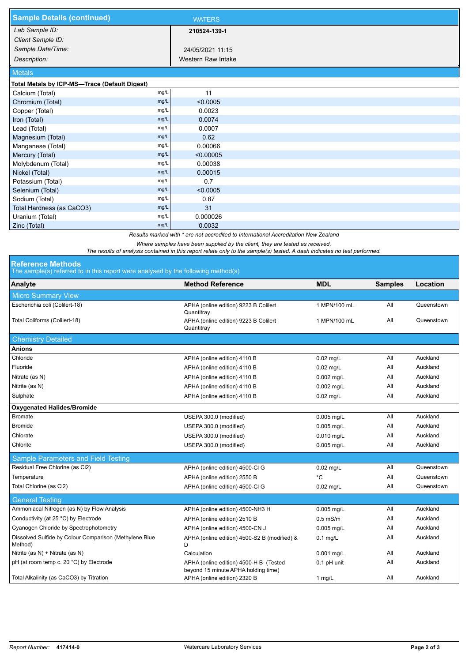| <b>Sample Details (continued)</b>             |      | <b>WATERS</b>      |
|-----------------------------------------------|------|--------------------|
| Lab Sample ID:                                |      | 210524-139-1       |
| Client Sample ID:                             |      |                    |
| Sample Date/Time:                             |      | 24/05/2021 11:15   |
| Description:                                  |      | Western Raw Intake |
| <b>Metals</b>                                 |      |                    |
| Total Metals by ICP-MS-Trace (Default Digest) |      |                    |
| Calcium (Total)                               | mg/L | 11                 |
| Chromium (Total)                              | mg/L | < 0.0005           |
| Copper (Total)                                | mg/L | 0.0023             |
| Iron (Total)                                  | mg/L | 0.0074             |
| Lead (Total)                                  | mg/L | 0.0007             |
| Magnesium (Total)                             | mg/L | 0.62               |
| Manganese (Total)                             | mg/L | 0.00066            |
| Mercury (Total)                               | mg/L | < 0.00005          |
| Molybdenum (Total)                            | mg/L | 0.00038            |
| Nickel (Total)                                | mg/L | 0.00015            |
| Potassium (Total)                             | mg/L | 0.7                |
| Selenium (Total)                              | mg/L | < 0.0005           |
| Sodium (Total)                                | mg/L | 0.87               |
| Total Hardness (as CaCO3)                     | mg/L | 31                 |
| Uranium (Total)                               | mg/L | 0.000026           |
| Zinc (Total)                                  | mg/L | 0.0032             |

*Results marked with \* are not accredited to International Accreditation New Zealand*

*Where samples have been supplied by the client, they are tested as received.* 

*The results of analysis contained in this report relate only to the sample(s) tested. A dash indicates no test performed.*

## **Reference Methods**

The sample(s) referred to in this report were analysed by the following method(s)

| The sample(s) referred to in this report were analysed by the following method(s) |                                                                               |              |                |            |  |  |  |
|-----------------------------------------------------------------------------------|-------------------------------------------------------------------------------|--------------|----------------|------------|--|--|--|
| Analyte                                                                           | <b>Method Reference</b>                                                       | <b>MDL</b>   | <b>Samples</b> | Location   |  |  |  |
| <b>Micro Summary View</b>                                                         |                                                                               |              |                |            |  |  |  |
| Escherichia coli (Colilert-18)                                                    | APHA (online edition) 9223 B Colilert<br>Quantitray                           | 1 MPN/100 mL | aii            | Queenstown |  |  |  |
| Total Coliforms (Colilert-18)                                                     | APHA (online edition) 9223 B Colilert<br>Quantitray                           | 1 MPN/100 mL | All            | Queenstown |  |  |  |
| <b>Chemistry Detailed</b>                                                         |                                                                               |              |                |            |  |  |  |
| <b>Anions</b>                                                                     |                                                                               |              |                |            |  |  |  |
| Chloride                                                                          | APHA (online edition) 4110 B                                                  | $0.02$ mg/L  | All            | Auckland   |  |  |  |
| Fluoride                                                                          | APHA (online edition) 4110 B                                                  | $0.02$ mg/L  | All            | Auckland   |  |  |  |
| Nitrate (as N)                                                                    | APHA (online edition) 4110 B                                                  | 0.002 mg/L   | aii            | Auckland   |  |  |  |
| Nitrite (as N)                                                                    | APHA (online edition) 4110 B                                                  | $0.002$ mg/L | aii            | Auckland   |  |  |  |
| Sulphate                                                                          | APHA (online edition) 4110 B                                                  | $0.02$ mg/L  | All            | Auckland   |  |  |  |
| <b>Oxygenated Halides/Bromide</b>                                                 |                                                                               |              |                |            |  |  |  |
| <b>Bromate</b>                                                                    | USEPA 300.0 (modified)                                                        | 0.005 mg/L   | All            | Auckland   |  |  |  |
| <b>Bromide</b>                                                                    | USEPA 300.0 (modified)                                                        | 0.005 mg/L   | All            | Auckland   |  |  |  |
| Chlorate                                                                          | USEPA 300.0 (modified)                                                        | 0.010 mg/L   | All            | Auckland   |  |  |  |
| Chlorite                                                                          | USEPA 300.0 (modified)                                                        | $0.005$ mg/L | All            | Auckland   |  |  |  |
| Sample Parameters and Field Testing                                               |                                                                               |              |                |            |  |  |  |
| Residual Free Chlorine (as Cl2)                                                   | APHA (online edition) 4500-Cl G                                               | $0.02$ mg/L  | aii            | Queenstown |  |  |  |
| Temperature                                                                       | APHA (online edition) 2550 B                                                  | °C           | All            | Queenstown |  |  |  |
| Total Chlorine (as Cl2)                                                           | APHA (online edition) 4500-Cl G                                               | $0.02$ mg/L  | All            | Queenstown |  |  |  |
| <b>General Testing</b>                                                            |                                                                               |              |                |            |  |  |  |
| Ammoniacal Nitrogen (as N) by Flow Analysis                                       | APHA (online edition) 4500-NH3 H                                              | $0.005$ mg/L | All            | Auckland   |  |  |  |
| Conductivity (at 25 °C) by Electrode                                              | APHA (online edition) 2510 B                                                  | $0.5$ mS/m   | All            | Auckland   |  |  |  |
| Cyanogen Chloride by Spectrophotometry                                            | APHA (online edition) 4500-CN J                                               | $0.005$ mg/L | aii            | Auckland   |  |  |  |
| Dissolved Sulfide by Colour Comparison (Methylene Blue<br>Method)                 | APHA (online edition) 4500-S2 B (modified) &<br>D                             | $0.1$ mg/L   | All            | Auckland   |  |  |  |
| Nitrite (as $N$ ) + Nitrate (as $N$ )                                             | Calculation                                                                   | 0.001 mg/L   | All            | Auckland   |  |  |  |
| pH (at room temp c. 20 °C) by Electrode                                           | APHA (online edition) 4500-H B (Tested<br>beyond 15 minute APHA holding time) | 0.1 pH unit  | All            | Auckland   |  |  |  |
| Total Alkalinity (as CaCO3) by Titration                                          | APHA (online edition) 2320 B                                                  | 1 $mg/L$     | All            | Auckland   |  |  |  |